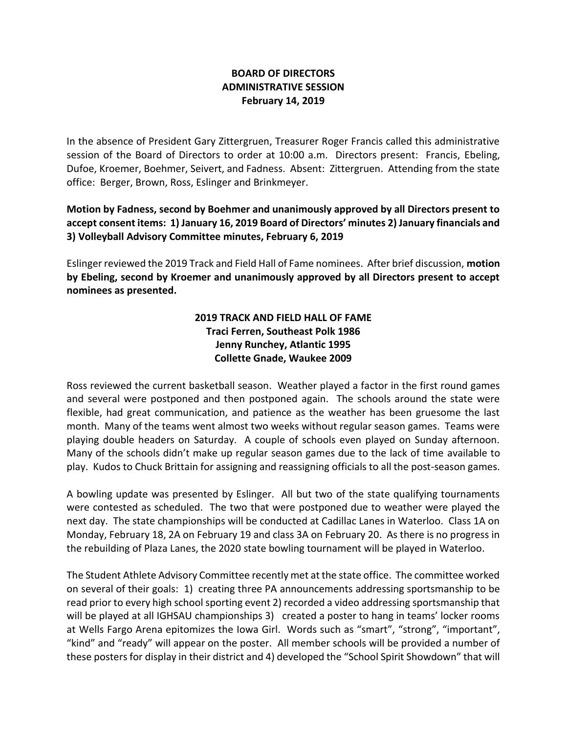## **BOARD OF DIRECTORS ADMINISTRATIVE SESSION February 14, 2019**

In the absence of President Gary Zittergruen, Treasurer Roger Francis called this administrative session of the Board of Directors to order at 10:00 a.m. Directors present: Francis, Ebeling, Dufoe, Kroemer, Boehmer, Seivert, and Fadness. Absent: Zittergruen. Attending from the state office: Berger, Brown, Ross, Eslinger and Brinkmeyer.

**Motion by Fadness, second by Boehmer and unanimously approved by all Directors present to accept consent items: 1) January 16, 2019 Board of Directors' minutes 2) January financials and 3) Volleyball Advisory Committee minutes, February 6, 2019**

Eslinger reviewed the 2019 Track and Field Hall of Fame nominees. After brief discussion, **motion by Ebeling, second by Kroemer and unanimously approved by all Directors present to accept nominees as presented.**

## **2019 TRACK AND FIELD HALL OF FAME Traci Ferren, Southeast Polk 1986 Jenny Runchey, Atlantic 1995 Collette Gnade, Waukee 2009**

Ross reviewed the current basketball season. Weather played a factor in the first round games and several were postponed and then postponed again. The schools around the state were flexible, had great communication, and patience as the weather has been gruesome the last month. Many of the teams went almost two weeks without regular season games. Teams were playing double headers on Saturday. A couple of schools even played on Sunday afternoon. Many of the schools didn't make up regular season games due to the lack of time available to play. Kudos to Chuck Brittain for assigning and reassigning officials to all the post-season games.

A bowling update was presented by Eslinger. All but two of the state qualifying tournaments were contested as scheduled. The two that were postponed due to weather were played the next day. The state championships will be conducted at Cadillac Lanes in Waterloo. Class 1A on Monday, February 18, 2A on February 19 and class 3A on February 20. As there is no progress in the rebuilding of Plaza Lanes, the 2020 state bowling tournament will be played in Waterloo.

The Student Athlete Advisory Committee recently met at the state office. The committee worked on several of their goals: 1) creating three PA announcements addressing sportsmanship to be read prior to every high school sporting event 2) recorded a video addressing sportsmanship that will be played at all IGHSAU championships 3) created a poster to hang in teams' locker rooms at Wells Fargo Arena epitomizes the Iowa Girl. Words such as "smart", "strong", "important", "kind" and "ready" will appear on the poster. All member schools will be provided a number of these posters for display in their district and 4) developed the "School Spirit Showdown" that will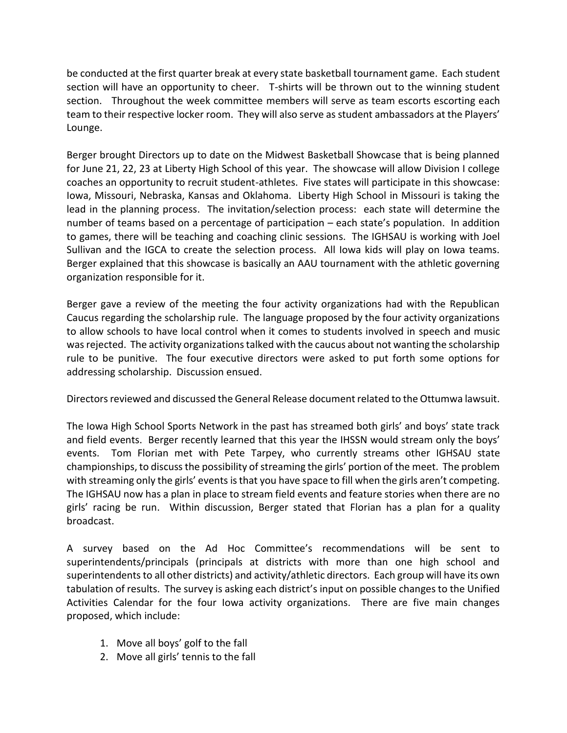be conducted at the first quarter break at every state basketball tournament game. Each student section will have an opportunity to cheer. T-shirts will be thrown out to the winning student section. Throughout the week committee members will serve as team escorts escorting each team to their respective locker room. They will also serve as student ambassadors at the Players' Lounge.

Berger brought Directors up to date on the Midwest Basketball Showcase that is being planned for June 21, 22, 23 at Liberty High School of this year. The showcase will allow Division I college coaches an opportunity to recruit student-athletes. Five states will participate in this showcase: Iowa, Missouri, Nebraska, Kansas and Oklahoma. Liberty High School in Missouri is taking the lead in the planning process. The invitation/selection process: each state will determine the number of teams based on a percentage of participation – each state's population. In addition to games, there will be teaching and coaching clinic sessions. The IGHSAU is working with Joel Sullivan and the IGCA to create the selection process. All Iowa kids will play on Iowa teams. Berger explained that this showcase is basically an AAU tournament with the athletic governing organization responsible for it.

Berger gave a review of the meeting the four activity organizations had with the Republican Caucus regarding the scholarship rule. The language proposed by the four activity organizations to allow schools to have local control when it comes to students involved in speech and music was rejected. The activity organizations talked with the caucus about not wanting the scholarship rule to be punitive. The four executive directors were asked to put forth some options for addressing scholarship. Discussion ensued.

Directors reviewed and discussed the General Release document related to the Ottumwa lawsuit.

The Iowa High School Sports Network in the past has streamed both girls' and boys' state track and field events. Berger recently learned that this year the IHSSN would stream only the boys' events. Tom Florian met with Pete Tarpey, who currently streams other IGHSAU state championships, to discuss the possibility of streaming the girls' portion of the meet. The problem with streaming only the girls' events is that you have space to fill when the girls aren't competing. The IGHSAU now has a plan in place to stream field events and feature stories when there are no girls' racing be run. Within discussion, Berger stated that Florian has a plan for a quality broadcast.

A survey based on the Ad Hoc Committee's recommendations will be sent to superintendents/principals (principals at districts with more than one high school and superintendents to all other districts) and activity/athletic directors. Each group will have its own tabulation of results. The survey is asking each district's input on possible changes to the Unified Activities Calendar for the four Iowa activity organizations. There are five main changes proposed, which include:

- 1. Move all boys' golf to the fall
- 2. Move all girls' tennis to the fall